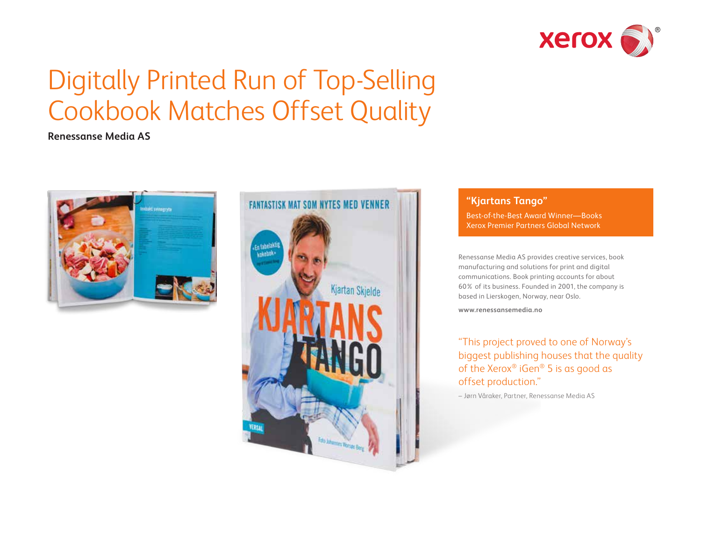

# Digitally Printed Run of Top-Selling Cookbook Matches Offset Quality

## **Renessanse Media AS**





### **"Kjartans Tango"**

Best-of-the-Best Award Winner—Books Xerox Premier Partners Global Network

Renessanse Media AS provides creative services, book manufacturing and solutions for print and digital communications. Book printing accounts for about 60% of its business. Founded in 2001, the company is based in Lierskogen, Norway, near Oslo.

**[www.renessansemedia.no](http://www.renessansemedia.no)**

"This project proved to one of Norway's biggest publishing houses that the quality of the Xerox® iGen® 5 is as good as offset production."

– Jørn Våraker, Partner, Renessanse Media AS